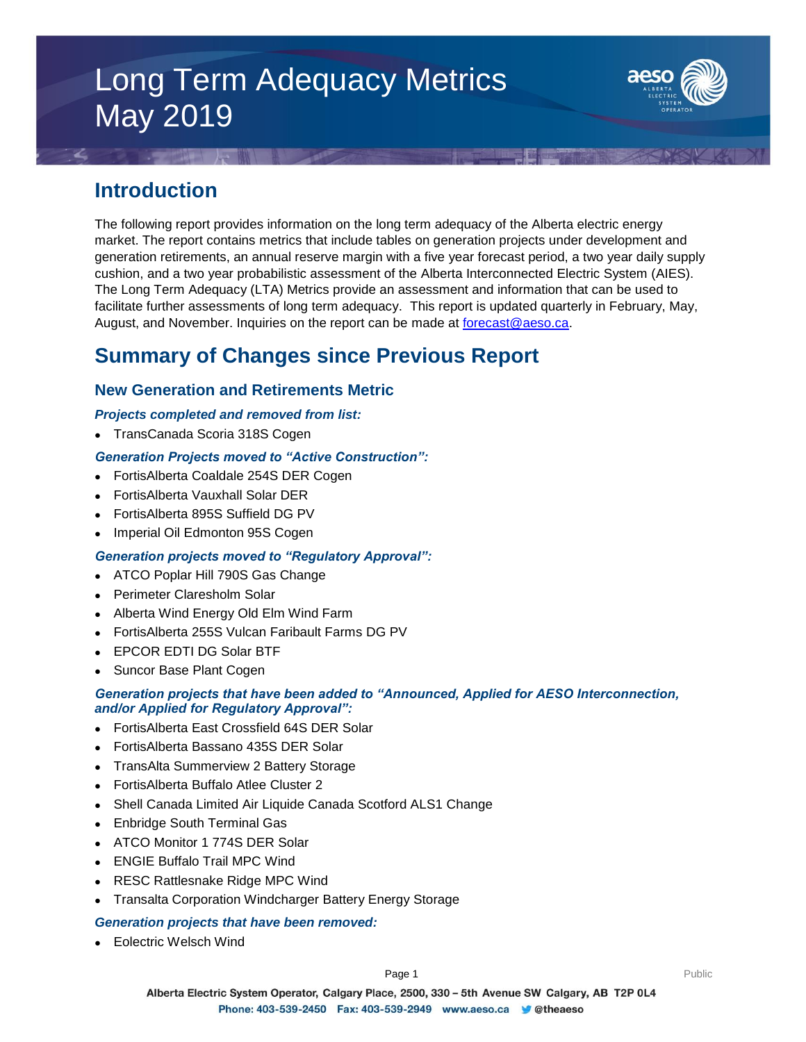# Long Term Adequacy Metrics May 2019



# **Introduction**

The following report provides information on the long term adequacy of the Alberta electric energy market. The report contains metrics that include tables on generation projects under development and generation retirements, an annual reserve margin with a five year forecast period, a two year daily supply cushion, and a two year probabilistic assessment of the Alberta Interconnected Electric System (AIES). The Long Term Adequacy (LTA) Metrics provide an assessment and information that can be used to facilitate further assessments of long term adequacy. This report is updated quarterly in February, May, August, and November. Inquiries on the report can be made at [forecast@aeso.ca.](mailto:forecast@aeso.ca)

# **Summary of Changes since Previous Report**

# **New Generation and Retirements Metric**

### *Projects completed and removed from list:*

TransCanada Scoria 318S Cogen

## *Generation Projects moved to "Active Construction":*

- FortisAlberta Coaldale 254S DER Cogen
- FortisAlberta Vauxhall Solar DER
- FortisAlberta 895S Suffield DG PV
- Imperial Oil Edmonton 95S Cogen

## *Generation projects moved to "Regulatory Approval":*

- ATCO Poplar Hill 790S Gas Change
- Perimeter Claresholm Solar
- Alberta Wind Energy Old Elm Wind Farm
- FortisAlberta 255S Vulcan Faribault Farms DG PV
- EPCOR EDTI DG Solar BTF
- Suncor Base Plant Cogen

### *Generation projects that have been added to "Announced, Applied for AESO Interconnection, and/or Applied for Regulatory Approval":*

- FortisAlberta East Crossfield 64S DER Solar
- FortisAlberta Bassano 435S DER Solar
- TransAlta Summerview 2 Battery Storage
- FortisAlberta Buffalo Atlee Cluster 2
- Shell Canada Limited Air Liquide Canada Scotford ALS1 Change
- Enbridge South Terminal Gas
- ATCO Monitor 1 774S DER Solar
- ENGIE Buffalo Trail MPC Wind
- RESC Rattlesnake Ridge MPC Wind
- Transalta Corporation Windcharger Battery Energy Storage

#### *Generation projects that have been removed:*

Eolectric Welsch Wind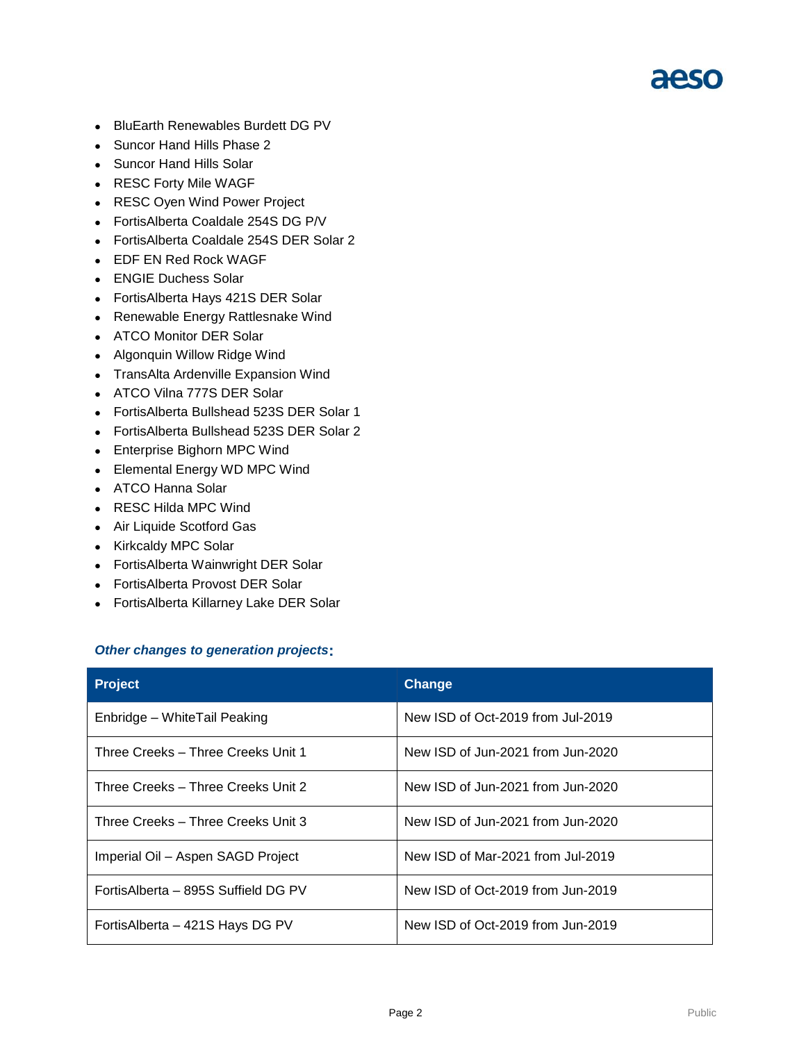

- BluEarth Renewables Burdett DG PV
- Suncor Hand Hills Phase 2
- Suncor Hand Hills Solar
- RESC Forty Mile WAGF
- RESC Oyen Wind Power Project
- FortisAlberta Coaldale 254S DG P/V
- FortisAlberta Coaldale 254S DER Solar 2
- EDF EN Red Rock WAGF
- ENGIE Duchess Solar
- FortisAlberta Hays 421S DER Solar
- Renewable Energy Rattlesnake Wind
- ATCO Monitor DER Solar
- Algonquin Willow Ridge Wind
- TransAlta Ardenville Expansion Wind
- ATCO Vilna 777S DER Solar
- FortisAlberta Bullshead 523S DER Solar 1
- FortisAlberta Bullshead 523S DER Solar 2
- Enterprise Bighorn MPC Wind
- Elemental Energy WD MPC Wind
- ATCO Hanna Solar
- RESC Hilda MPC Wind
- Air Liquide Scotford Gas
- Kirkcaldy MPC Solar
- FortisAlberta Wainwright DER Solar
- FortisAlberta Provost DER Solar
- FortisAlberta Killarney Lake DER Solar

#### *Other changes to generation projects***:**

| <b>Project</b>                      | Change                            |
|-------------------------------------|-----------------------------------|
| Enbridge – WhiteTail Peaking        | New ISD of Oct-2019 from Jul-2019 |
| Three Creeks - Three Creeks Unit 1  | New ISD of Jun-2021 from Jun-2020 |
| Three Creeks - Three Creeks Unit 2  | New ISD of Jun-2021 from Jun-2020 |
| Three Creeks – Three Creeks Unit 3  | New ISD of Jun-2021 from Jun-2020 |
| Imperial Oil - Aspen SAGD Project   | New ISD of Mar-2021 from Jul-2019 |
| FortisAlberta – 895S Suffield DG PV | New ISD of Oct-2019 from Jun-2019 |
| Fortis Alberta - 421S Hays DG PV    | New ISD of Oct-2019 from Jun-2019 |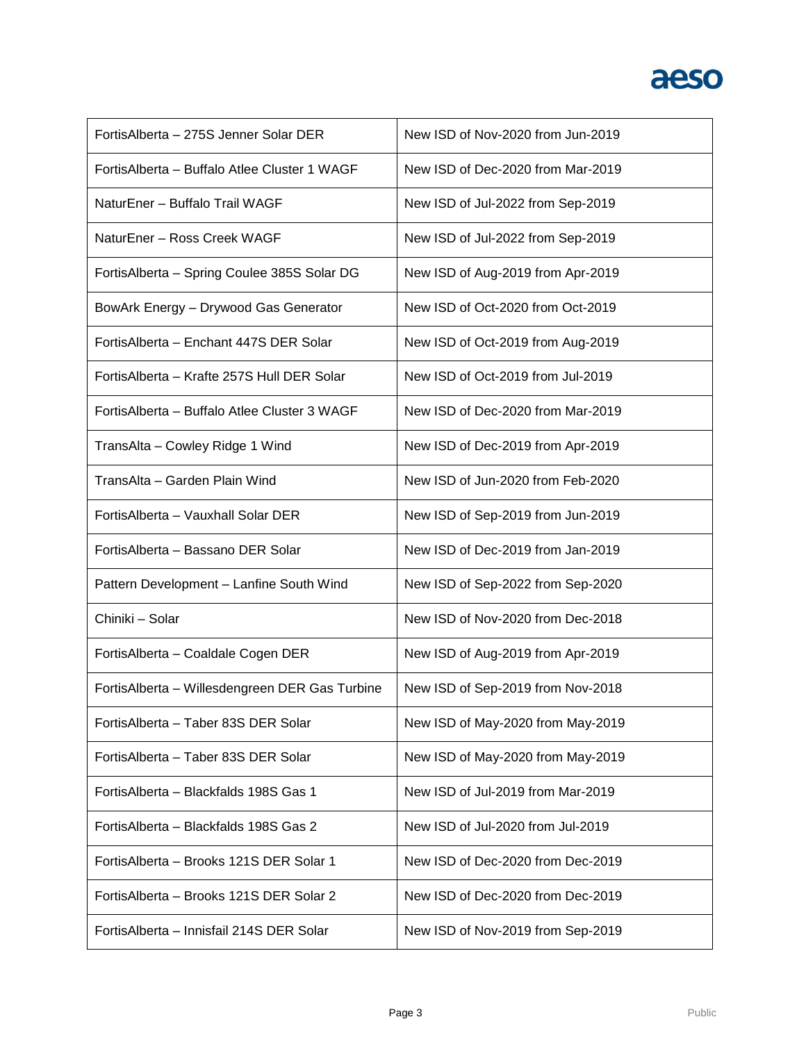# aeso

| Fortis Alberta - 275S Jenner Solar DER         | New ISD of Nov-2020 from Jun-2019 |
|------------------------------------------------|-----------------------------------|
| Fortis Alberta - Buffalo Atlee Cluster 1 WAGF  | New ISD of Dec-2020 from Mar-2019 |
| NaturEner - Buffalo Trail WAGF                 | New ISD of Jul-2022 from Sep-2019 |
| NaturEner - Ross Creek WAGF                    | New ISD of Jul-2022 from Sep-2019 |
| FortisAlberta - Spring Coulee 385S Solar DG    | New ISD of Aug-2019 from Apr-2019 |
| BowArk Energy - Drywood Gas Generator          | New ISD of Oct-2020 from Oct-2019 |
| Fortis Alberta - Enchant 447S DER Solar        | New ISD of Oct-2019 from Aug-2019 |
| Fortis Alberta - Krafte 257S Hull DER Solar    | New ISD of Oct-2019 from Jul-2019 |
| Fortis Alberta - Buffalo Atlee Cluster 3 WAGF  | New ISD of Dec-2020 from Mar-2019 |
| TransAlta - Cowley Ridge 1 Wind                | New ISD of Dec-2019 from Apr-2019 |
| TransAlta - Garden Plain Wind                  | New ISD of Jun-2020 from Feb-2020 |
| FortisAlberta - Vauxhall Solar DER             | New ISD of Sep-2019 from Jun-2019 |
| FortisAlberta - Bassano DER Solar              | New ISD of Dec-2019 from Jan-2019 |
| Pattern Development - Lanfine South Wind       | New ISD of Sep-2022 from Sep-2020 |
| Chiniki - Solar                                | New ISD of Nov-2020 from Dec-2018 |
| FortisAlberta - Coaldale Cogen DER             | New ISD of Aug-2019 from Apr-2019 |
| FortisAlberta - Willesdengreen DER Gas Turbine | New ISD of Sep-2019 from Nov-2018 |
| FortisAlberta - Taber 83S DER Solar            | New ISD of May-2020 from May-2019 |
| FortisAlberta - Taber 83S DER Solar            | New ISD of May-2020 from May-2019 |
| Fortis Alberta - Blackfalds 198S Gas 1         | New ISD of Jul-2019 from Mar-2019 |
| Fortis Alberta - Blackfalds 198S Gas 2         | New ISD of Jul-2020 from Jul-2019 |
| FortisAlberta - Brooks 121S DER Solar 1        | New ISD of Dec-2020 from Dec-2019 |
| FortisAlberta - Brooks 121S DER Solar 2        | New ISD of Dec-2020 from Dec-2019 |
| FortisAlberta - Innisfail 214S DER Solar       | New ISD of Nov-2019 from Sep-2019 |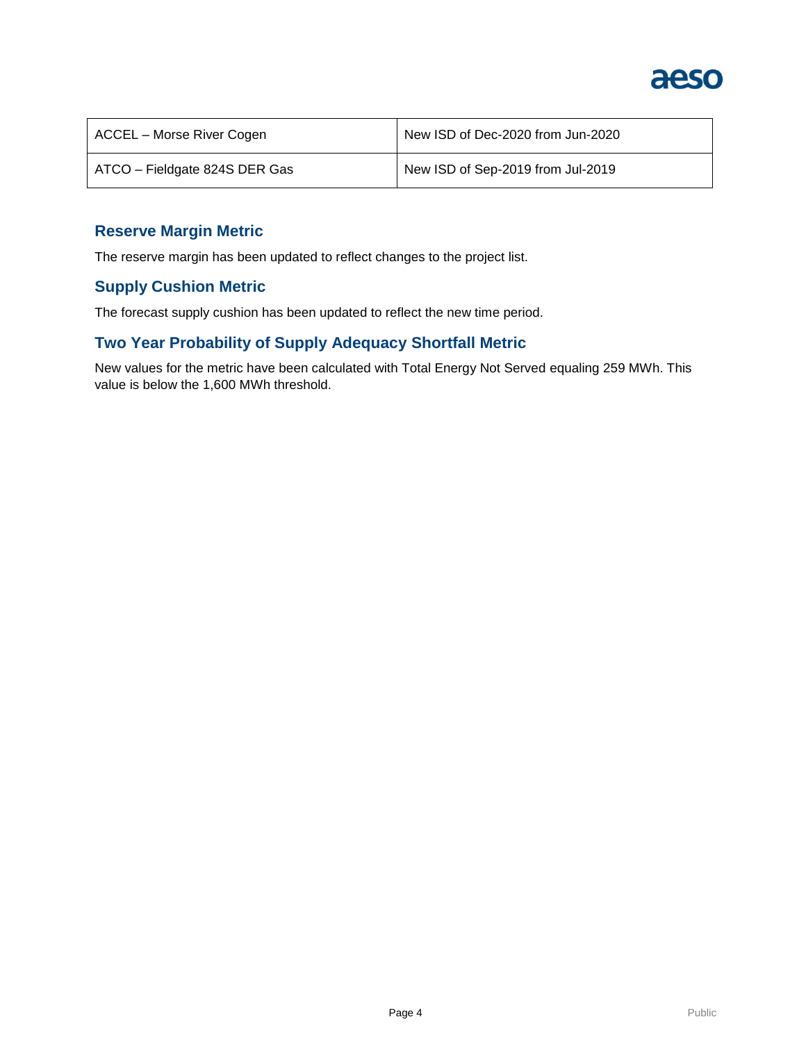

| ACCEL – Morse River Cogen     | New ISD of Dec-2020 from Jun-2020 |
|-------------------------------|-----------------------------------|
| ATCO - Fieldgate 824S DER Gas | New ISD of Sep-2019 from Jul-2019 |

## **Reserve Margin Metric**

The reserve margin has been updated to reflect changes to the project list.

## **Supply Cushion Metric**

The forecast supply cushion has been updated to reflect the new time period.

# **Two Year Probability of Supply Adequacy Shortfall Metric**

New values for the metric have been calculated with Total Energy Not Served equaling 259 MWh. This value is below the 1,600 MWh threshold.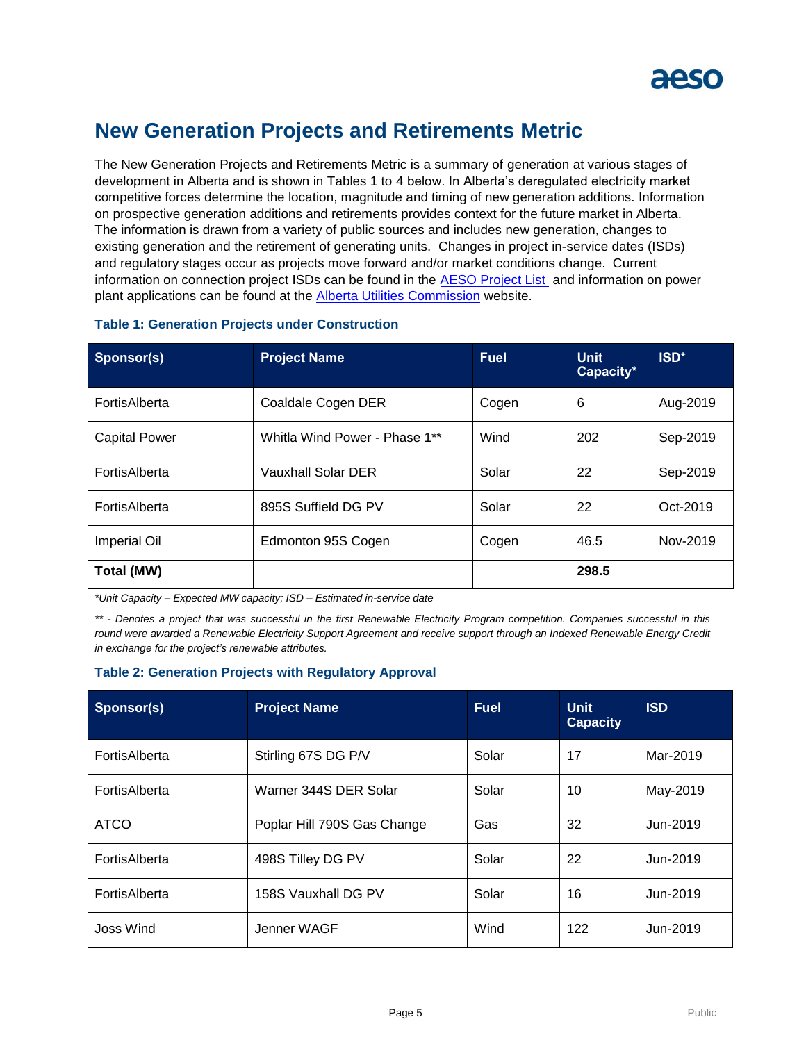

# **New Generation Projects and Retirements Metric**

The New Generation Projects and Retirements Metric is a summary of generation at various stages of development in Alberta and is shown in Tables 1 to 4 below. In Alberta's deregulated electricity market competitive forces determine the location, magnitude and timing of new generation additions. Information on prospective generation additions and retirements provides context for the future market in Alberta. The information is drawn from a variety of public sources and includes new generation, changes to existing generation and the retirement of generating units. Changes in project in-service dates (ISDs) and regulatory stages occur as projects move forward and/or market conditions change. Current information on connection project ISDs can be found in the [AESO Project List](https://www.aeso.ca/grid/connecting-to-the-grid/) and information on power plant applications can be found at the **Alberta Utilities Commission** website.

| Sponsor(s)           | <b>Project Name</b>           | <b>Fuel</b> | <b>Unit</b><br>Capacity* | ISD <sup>*</sup> |
|----------------------|-------------------------------|-------------|--------------------------|------------------|
| FortisAlberta        | Coaldale Cogen DER            | Cogen       | 6                        | Aug-2019         |
| <b>Capital Power</b> | Whitla Wind Power - Phase 1** | Wind        | 202                      | Sep-2019         |
| FortisAlberta        | Vauxhall Solar DER            | Solar       | 22                       | Sep-2019         |
| FortisAlberta        | 895S Suffield DG PV           | Solar       | 22                       | Oct-2019         |
| <b>Imperial Oil</b>  | Edmonton 95S Cogen            | Cogen       | 46.5                     | Nov-2019         |
| <b>Total (MW)</b>    |                               |             | 298.5                    |                  |

#### **Table 1: Generation Projects under Construction**

*\*Unit Capacity – Expected MW capacity; ISD – Estimated in-service date*

*\*\* - Denotes a project that was successful in the first Renewable Electricity Program competition. Companies successful in this round were awarded a Renewable Electricity Support Agreement and receive support through an Indexed Renewable Energy Credit in exchange for the project's renewable attributes.* 

#### **Table 2: Generation Projects with Regulatory Approval**

| Sponsor(s)    | <b>Project Name</b>         | <b>Fuel</b> | <b>Unit</b><br><b>Capacity</b> | <b>ISD</b> |
|---------------|-----------------------------|-------------|--------------------------------|------------|
| FortisAlberta | Stirling 67S DG P/V         | Solar       | 17                             | Mar-2019   |
| FortisAlberta | Warner 344S DER Solar       | Solar       | 10                             | May-2019   |
| <b>ATCO</b>   | Poplar Hill 790S Gas Change | Gas         | 32                             | Jun-2019   |
| FortisAlberta | 498S Tilley DG PV           | Solar       | 22                             | Jun-2019   |
| FortisAlberta | 158S Vauxhall DG PV         | Solar       | 16                             | Jun-2019   |
| Joss Wind     | Jenner WAGF                 | Wind        | 122                            | Jun-2019   |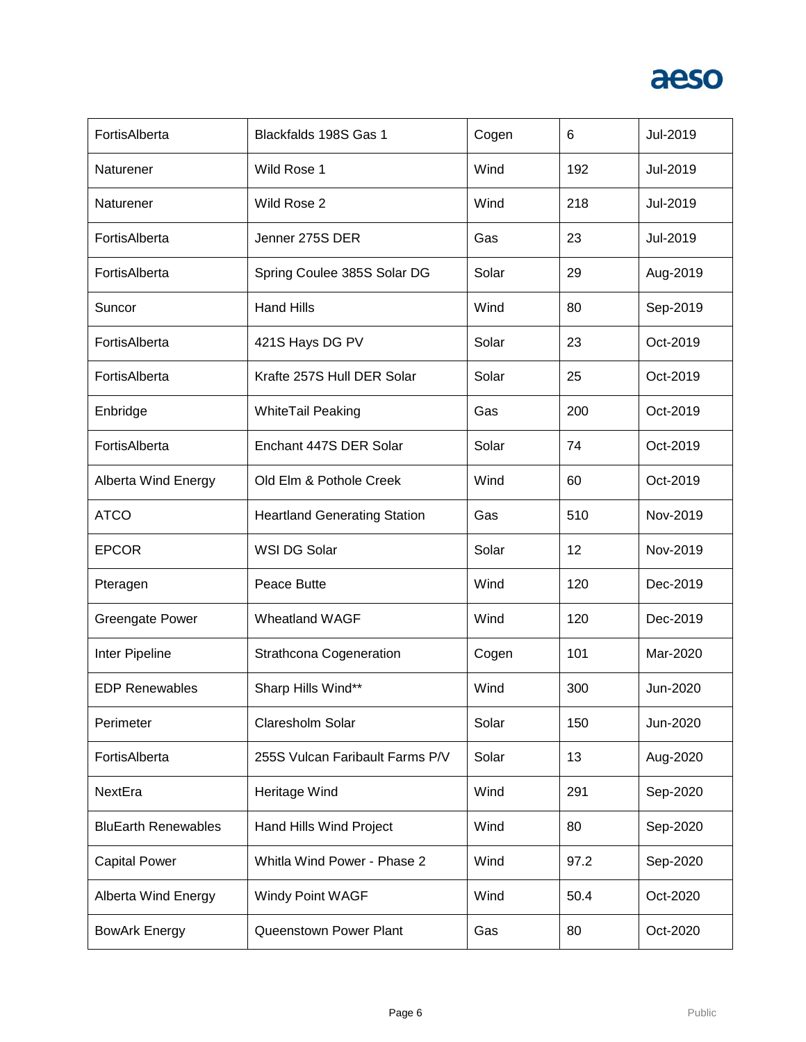

| FortisAlberta              | Blackfalds 198S Gas 1               | Cogen | 6    | Jul-2019 |
|----------------------------|-------------------------------------|-------|------|----------|
| Naturener                  | Wild Rose 1                         | Wind  | 192  | Jul-2019 |
| Naturener                  | Wild Rose 2                         | Wind  | 218  | Jul-2019 |
| FortisAlberta              | Jenner 275S DER                     | Gas   | 23   | Jul-2019 |
| FortisAlberta              | Spring Coulee 385S Solar DG         | Solar | 29   | Aug-2019 |
| Suncor                     | <b>Hand Hills</b>                   | Wind  | 80   | Sep-2019 |
| FortisAlberta              | 421S Hays DG PV                     | Solar | 23   | Oct-2019 |
| FortisAlberta              | Krafte 257S Hull DER Solar          | Solar | 25   | Oct-2019 |
| Enbridge                   | <b>WhiteTail Peaking</b>            | Gas   | 200  | Oct-2019 |
| FortisAlberta              | Enchant 447S DER Solar              | Solar | 74   | Oct-2019 |
| <b>Alberta Wind Energy</b> | Old Elm & Pothole Creek             | Wind  | 60   | Oct-2019 |
| <b>ATCO</b>                | <b>Heartland Generating Station</b> | Gas   | 510  | Nov-2019 |
| <b>EPCOR</b>               | WSI DG Solar                        | Solar | 12   | Nov-2019 |
| Pteragen                   | Peace Butte                         | Wind  | 120  | Dec-2019 |
| <b>Greengate Power</b>     | <b>Wheatland WAGF</b>               | Wind  | 120  | Dec-2019 |
| Inter Pipeline             | <b>Strathcona Cogeneration</b>      | Cogen | 101  | Mar-2020 |
| <b>EDP Renewables</b>      | Sharp Hills Wind**                  | Wind  | 300  | Jun-2020 |
| Perimeter                  | Claresholm Solar                    | Solar | 150  | Jun-2020 |
| FortisAlberta              | 255S Vulcan Faribault Farms P/V     | Solar | 13   | Aug-2020 |
| NextEra                    | Heritage Wind                       | Wind  | 291  | Sep-2020 |
| <b>BluEarth Renewables</b> | Hand Hills Wind Project             | Wind  | 80   | Sep-2020 |
| <b>Capital Power</b>       | Whitla Wind Power - Phase 2         | Wind  | 97.2 | Sep-2020 |
| <b>Alberta Wind Energy</b> | Windy Point WAGF                    | Wind  | 50.4 | Oct-2020 |
| <b>BowArk Energy</b>       | Queenstown Power Plant              | Gas   | 80   | Oct-2020 |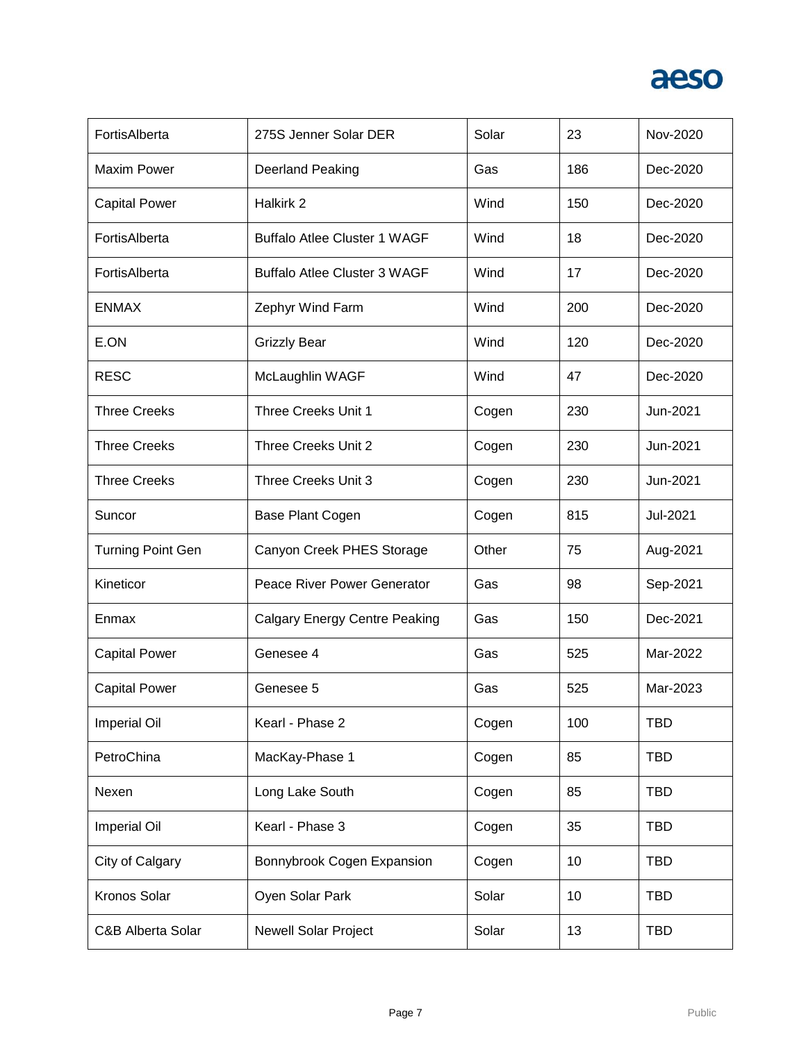

| FortisAlberta            | 275S Jenner Solar DER                | Solar | 23  | Nov-2020   |
|--------------------------|--------------------------------------|-------|-----|------------|
| <b>Maxim Power</b>       | Deerland Peaking                     | Gas   | 186 | Dec-2020   |
| <b>Capital Power</b>     | Halkirk 2                            | Wind  | 150 | Dec-2020   |
| FortisAlberta            | <b>Buffalo Atlee Cluster 1 WAGF</b>  | Wind  | 18  | Dec-2020   |
| FortisAlberta            | <b>Buffalo Atlee Cluster 3 WAGF</b>  | Wind  | 17  | Dec-2020   |
| <b>ENMAX</b>             | Zephyr Wind Farm                     | Wind  | 200 | Dec-2020   |
| E.ON                     | <b>Grizzly Bear</b>                  | Wind  | 120 | Dec-2020   |
| <b>RESC</b>              | McLaughlin WAGF                      | Wind  | 47  | Dec-2020   |
| <b>Three Creeks</b>      | Three Creeks Unit 1                  | Cogen | 230 | Jun-2021   |
| <b>Three Creeks</b>      | Three Creeks Unit 2                  | Cogen | 230 | Jun-2021   |
| <b>Three Creeks</b>      | Three Creeks Unit 3                  | Cogen | 230 | Jun-2021   |
| Suncor                   | Base Plant Cogen                     | Cogen | 815 | Jul-2021   |
| <b>Turning Point Gen</b> | Canyon Creek PHES Storage            | Other | 75  | Aug-2021   |
| Kineticor                | Peace River Power Generator          | Gas   | 98  | Sep-2021   |
| Enmax                    | <b>Calgary Energy Centre Peaking</b> | Gas   | 150 | Dec-2021   |
| <b>Capital Power</b>     | Genesee 4                            | Gas   | 525 | Mar-2022   |
| <b>Capital Power</b>     | Genesee 5                            | Gas   | 525 | Mar-2023   |
| Imperial Oil             | Kearl - Phase 2                      | Cogen | 100 | <b>TBD</b> |
| PetroChina               | MacKay-Phase 1                       | Cogen | 85  | <b>TBD</b> |
| Nexen                    | Long Lake South                      | Cogen | 85  | <b>TBD</b> |
| Imperial Oil             | Kearl - Phase 3                      | Cogen | 35  | <b>TBD</b> |
| City of Calgary          | Bonnybrook Cogen Expansion           | Cogen | 10  | <b>TBD</b> |
| Kronos Solar             | Oyen Solar Park                      | Solar | 10  | <b>TBD</b> |
| C&B Alberta Solar        | <b>Newell Solar Project</b>          | Solar | 13  | <b>TBD</b> |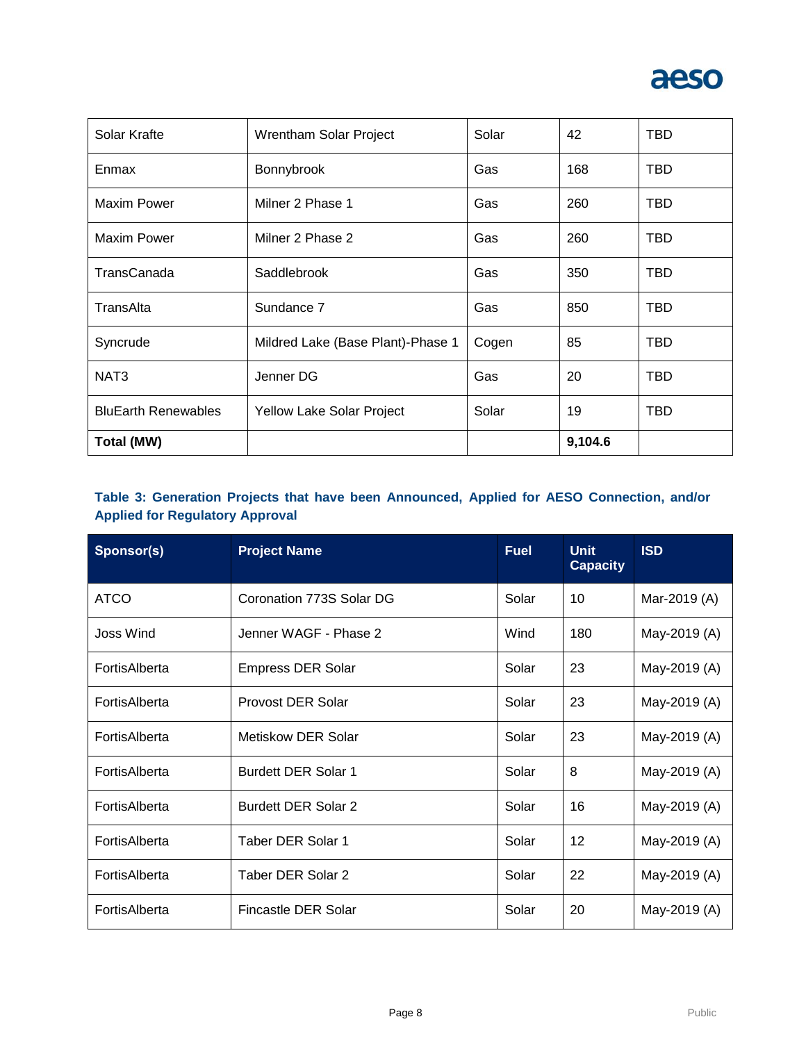

| Solar Krafte               | Wrentham Solar Project            | Solar | 42      | <b>TBD</b> |
|----------------------------|-----------------------------------|-------|---------|------------|
| Enmax                      | Bonnybrook                        | Gas   | 168     | TBD        |
| Maxim Power                | Milner 2 Phase 1                  | Gas   | 260     | TBD        |
| Maxim Power                | Milner 2 Phase 2                  | Gas   | 260     | <b>TBD</b> |
| TransCanada                | Saddlebrook                       | Gas   | 350     | <b>TBD</b> |
| TransAlta                  | Sundance 7                        | Gas   | 850     | <b>TBD</b> |
| Syncrude                   | Mildred Lake (Base Plant)-Phase 1 | Cogen | 85      | <b>TBD</b> |
| NAT <sub>3</sub>           | Jenner DG                         | Gas   | 20      | TBD        |
| <b>BluEarth Renewables</b> | Yellow Lake Solar Project         | Solar | 19      | TBD        |
| Total (MW)                 |                                   |       | 9,104.6 |            |

## **Table 3: Generation Projects that have been Announced, Applied for AESO Connection, and/or Applied for Regulatory Approval**

| Sponsor(s)       | <b>Project Name</b>        | <b>Fuel</b> | <b>Unit</b><br><b>Capacity</b> | <b>ISD</b>   |
|------------------|----------------------------|-------------|--------------------------------|--------------|
| <b>ATCO</b>      | Coronation 773S Solar DG   | Solar       | 10                             | Mar-2019 (A) |
| <b>Joss Wind</b> | Jenner WAGF - Phase 2      | Wind        | 180                            | May-2019 (A) |
| FortisAlberta    | Empress DER Solar          | Solar       | 23                             | May-2019 (A) |
| FortisAlberta    | Provost DER Solar          | Solar       | 23                             | May-2019 (A) |
| FortisAlberta    | Metiskow DER Solar         | Solar       | 23                             | May-2019 (A) |
| FortisAlberta    | <b>Burdett DER Solar 1</b> | Solar       | 8                              | May-2019 (A) |
| FortisAlberta    | <b>Burdett DER Solar 2</b> | Solar       | 16                             | May-2019 (A) |
| FortisAlberta    | Taber DER Solar 1          | Solar       | 12                             | May-2019 (A) |
| FortisAlberta    | Taber DER Solar 2          | Solar       | 22                             | May-2019 (A) |
| FortisAlberta    | Fincastle DER Solar        | Solar       | 20                             | May-2019 (A) |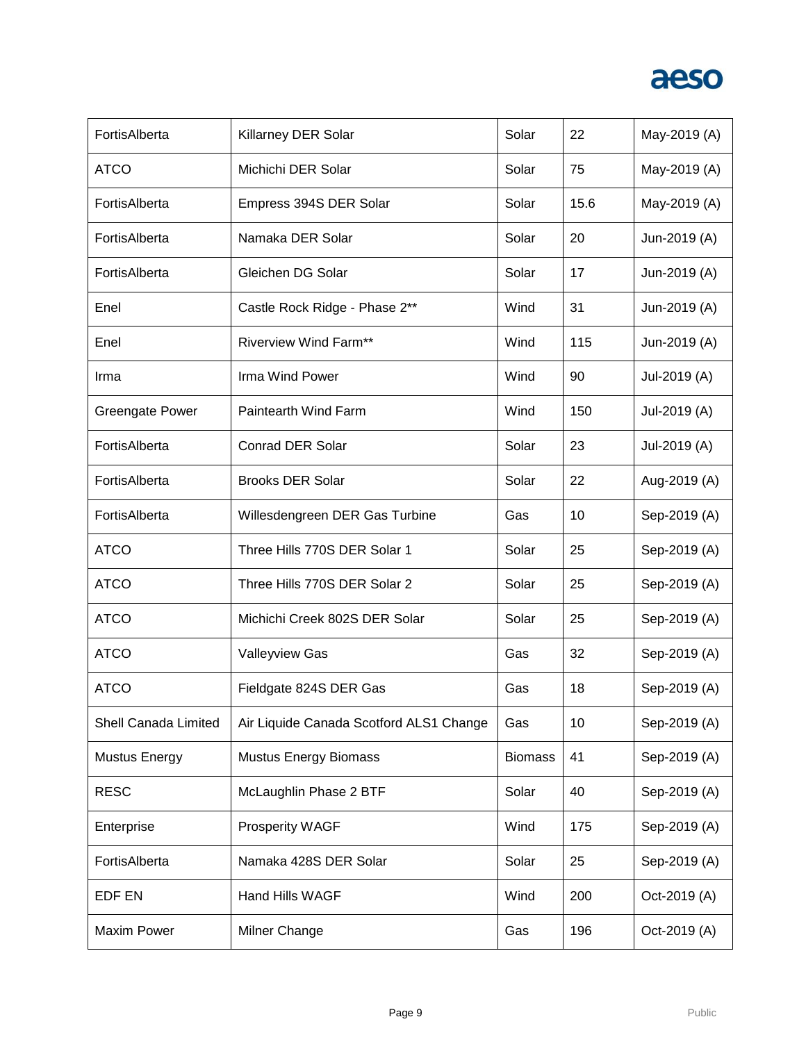

| FortisAlberta          | Killarney DER Solar                     | Solar          | 22   | May-2019 (A) |
|------------------------|-----------------------------------------|----------------|------|--------------|
| <b>ATCO</b>            | Michichi DER Solar                      | Solar          | 75   | May-2019 (A) |
| FortisAlberta          | Empress 394S DER Solar                  | Solar          | 15.6 | May-2019 (A) |
| FortisAlberta          | Namaka DER Solar                        | Solar          | 20   | Jun-2019 (A) |
| FortisAlberta          | Gleichen DG Solar                       | Solar          | 17   | Jun-2019 (A) |
| Enel                   | Castle Rock Ridge - Phase 2**           | Wind           | 31   | Jun-2019 (A) |
| Enel                   | <b>Riverview Wind Farm**</b>            | Wind           | 115  | Jun-2019 (A) |
| Irma                   | Irma Wind Power                         | Wind           | 90   | Jul-2019 (A) |
| <b>Greengate Power</b> | Paintearth Wind Farm                    | Wind           | 150  | Jul-2019 (A) |
| FortisAlberta          | <b>Conrad DER Solar</b>                 | Solar          | 23   | Jul-2019 (A) |
| FortisAlberta          | <b>Brooks DER Solar</b>                 | Solar          | 22   | Aug-2019 (A) |
| FortisAlberta          | Willesdengreen DER Gas Turbine          | Gas            | 10   | Sep-2019 (A) |
| <b>ATCO</b>            | Three Hills 770S DER Solar 1            | Solar          | 25   | Sep-2019 (A) |
| <b>ATCO</b>            | Three Hills 770S DER Solar 2            | Solar          | 25   | Sep-2019 (A) |
| <b>ATCO</b>            | Michichi Creek 802S DER Solar           | Solar          | 25   | Sep-2019 (A) |
| <b>ATCO</b>            | <b>Valleyview Gas</b>                   | Gas            | 32   | Sep-2019 (A) |
| <b>ATCO</b>            | Fieldgate 824S DER Gas                  | Gas            | 18   | Sep-2019 (A) |
| Shell Canada Limited   | Air Liquide Canada Scotford ALS1 Change | Gas            | 10   | Sep-2019 (A) |
| <b>Mustus Energy</b>   | <b>Mustus Energy Biomass</b>            | <b>Biomass</b> | 41   | Sep-2019 (A) |
| <b>RESC</b>            | McLaughlin Phase 2 BTF                  | Solar          | 40   | Sep-2019 (A) |
| Enterprise             | Prosperity WAGF                         | Wind           | 175  | Sep-2019 (A) |
| FortisAlberta          | Namaka 428S DER Solar                   | Solar          | 25   | Sep-2019 (A) |
| EDF EN                 | Hand Hills WAGF                         | Wind           | 200  | Oct-2019 (A) |
| Maxim Power            | Milner Change                           | Gas            | 196  | Oct-2019 (A) |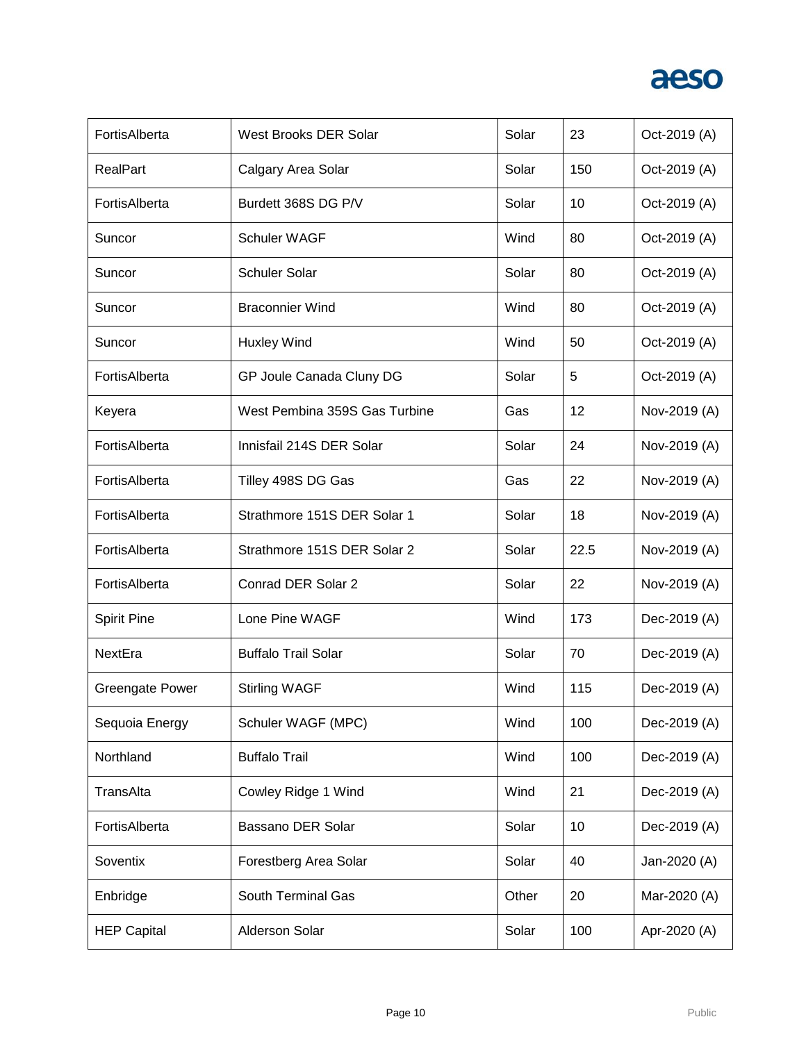

| FortisAlberta          | West Brooks DER Solar         | Solar | 23   | Oct-2019 (A) |
|------------------------|-------------------------------|-------|------|--------------|
| <b>RealPart</b>        | Calgary Area Solar            | Solar | 150  | Oct-2019 (A) |
| FortisAlberta          | Burdett 368S DG P/V           | Solar | 10   | Oct-2019 (A) |
| Suncor                 | <b>Schuler WAGF</b>           | Wind  | 80   | Oct-2019 (A) |
| Suncor                 | <b>Schuler Solar</b>          | Solar | 80   | Oct-2019 (A) |
| Suncor                 | <b>Braconnier Wind</b>        | Wind  | 80   | Oct-2019 (A) |
| Suncor                 | <b>Huxley Wind</b>            | Wind  | 50   | Oct-2019 (A) |
| FortisAlberta          | GP Joule Canada Cluny DG      | Solar | 5    | Oct-2019 (A) |
| Keyera                 | West Pembina 359S Gas Turbine | Gas   | 12   | Nov-2019 (A) |
| FortisAlberta          | Innisfail 214S DER Solar      | Solar | 24   | Nov-2019 (A) |
| FortisAlberta          | Tilley 498S DG Gas            | Gas   | 22   | Nov-2019 (A) |
| FortisAlberta          | Strathmore 151S DER Solar 1   | Solar | 18   | Nov-2019 (A) |
| FortisAlberta          | Strathmore 151S DER Solar 2   | Solar | 22.5 | Nov-2019 (A) |
| FortisAlberta          | Conrad DER Solar 2            | Solar | 22   | Nov-2019 (A) |
| <b>Spirit Pine</b>     | Lone Pine WAGF                | Wind  | 173  | Dec-2019 (A) |
| NextEra                | <b>Buffalo Trail Solar</b>    | Solar | 70   | Dec-2019 (A) |
| <b>Greengate Power</b> | <b>Stirling WAGF</b>          | Wind  | 115  | Dec-2019 (A) |
| Sequoia Energy         | Schuler WAGF (MPC)            | Wind  | 100  | Dec-2019 (A) |
| Northland              | <b>Buffalo Trail</b>          | Wind  | 100  | Dec-2019 (A) |
| TransAlta              | Cowley Ridge 1 Wind           | Wind  | 21   | Dec-2019 (A) |
| FortisAlberta          | Bassano DER Solar             | Solar | 10   | Dec-2019 (A) |
| Soventix               | Forestberg Area Solar         | Solar | 40   | Jan-2020 (A) |
| Enbridge               | South Terminal Gas            | Other | 20   | Mar-2020 (A) |
| <b>HEP Capital</b>     | Alderson Solar                | Solar | 100  | Apr-2020 (A) |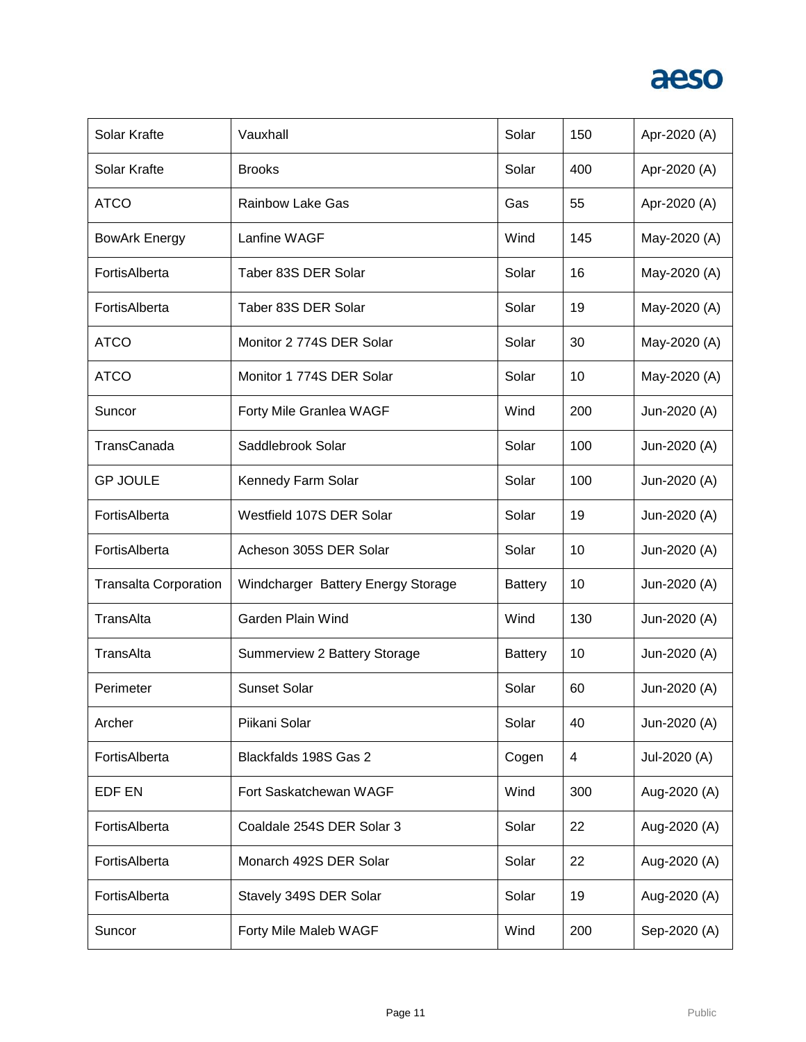

| Solar Krafte                 | Vauxhall                           | Solar          | 150 | Apr-2020 (A) |
|------------------------------|------------------------------------|----------------|-----|--------------|
| Solar Krafte                 | <b>Brooks</b>                      | Solar          | 400 | Apr-2020 (A) |
| <b>ATCO</b>                  | <b>Rainbow Lake Gas</b>            | Gas            | 55  | Apr-2020 (A) |
| <b>BowArk Energy</b>         | Lanfine WAGF                       | Wind           | 145 | May-2020 (A) |
| FortisAlberta                | Taber 83S DER Solar                | Solar          | 16  | May-2020 (A) |
| FortisAlberta                | Taber 83S DER Solar                | Solar          | 19  | May-2020 (A) |
| <b>ATCO</b>                  | Monitor 2 774S DER Solar           | Solar          | 30  | May-2020 (A) |
| <b>ATCO</b>                  | Monitor 1 774S DER Solar           | Solar          | 10  | May-2020 (A) |
| Suncor                       | Forty Mile Granlea WAGF            | Wind           | 200 | Jun-2020 (A) |
| TransCanada                  | Saddlebrook Solar                  | Solar          | 100 | Jun-2020 (A) |
| <b>GP JOULE</b>              | Kennedy Farm Solar                 | Solar          | 100 | Jun-2020 (A) |
| FortisAlberta                | Westfield 107S DER Solar           | Solar          | 19  | Jun-2020 (A) |
| FortisAlberta                | Acheson 305S DER Solar             | Solar          | 10  | Jun-2020 (A) |
| <b>Transalta Corporation</b> | Windcharger Battery Energy Storage | <b>Battery</b> | 10  | Jun-2020 (A) |
| TransAlta                    | Garden Plain Wind                  | Wind           | 130 | Jun-2020 (A) |
| TransAlta                    | Summerview 2 Battery Storage       | <b>Battery</b> | 10  | Jun-2020 (A) |
| Perimeter                    | <b>Sunset Solar</b>                | Solar          | 60  | Jun-2020 (A) |
| Archer                       | Piikani Solar                      | Solar          | 40  | Jun-2020 (A) |
| FortisAlberta                | Blackfalds 198S Gas 2              | Cogen          | 4   | Jul-2020 (A) |
| EDF EN                       | Fort Saskatchewan WAGF             | Wind           | 300 | Aug-2020 (A) |
| FortisAlberta                | Coaldale 254S DER Solar 3          | Solar          | 22  | Aug-2020 (A) |
| FortisAlberta                | Monarch 492S DER Solar             | Solar          | 22  | Aug-2020 (A) |
| FortisAlberta                | Stavely 349S DER Solar             | Solar          | 19  | Aug-2020 (A) |
| Suncor                       | Forty Mile Maleb WAGF              | Wind           | 200 | Sep-2020 (A) |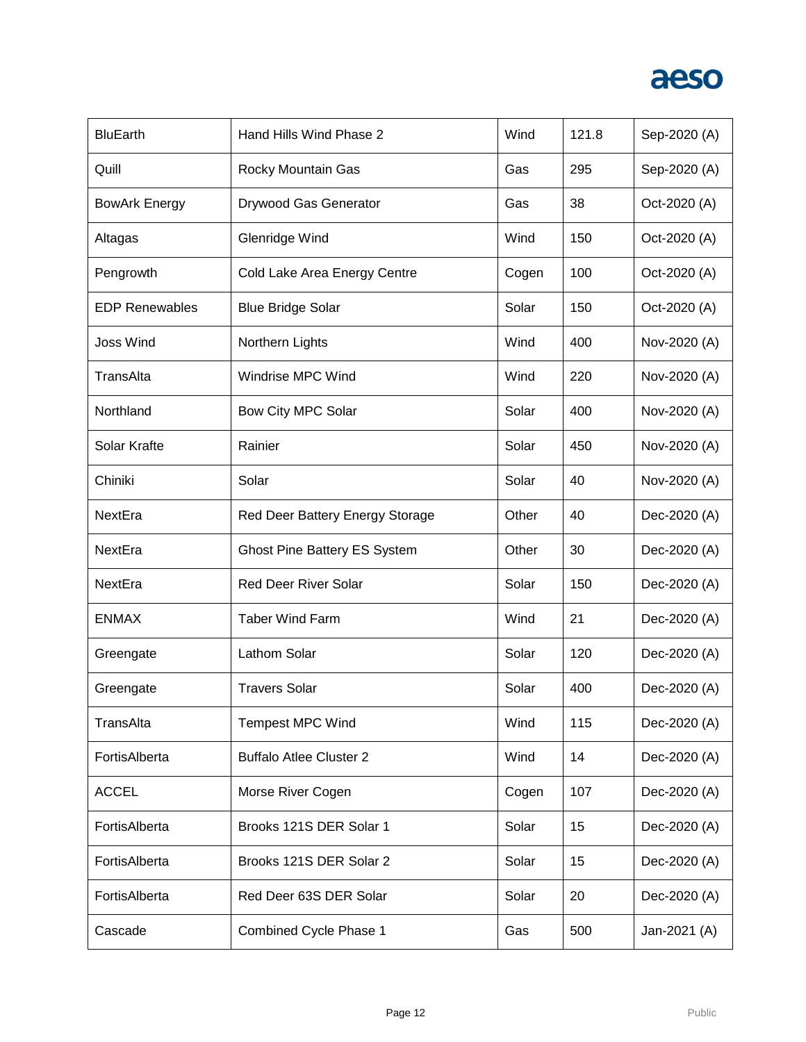

| <b>BluEarth</b>       | Hand Hills Wind Phase 2             | Wind  | 121.8 | Sep-2020 (A) |
|-----------------------|-------------------------------------|-------|-------|--------------|
| Quill                 | Rocky Mountain Gas                  | Gas   | 295   | Sep-2020 (A) |
| <b>BowArk Energy</b>  | Drywood Gas Generator               | Gas   | 38    | Oct-2020 (A) |
| Altagas               | Glenridge Wind                      | Wind  | 150   | Oct-2020 (A) |
| Pengrowth             | Cold Lake Area Energy Centre        | Cogen | 100   | Oct-2020 (A) |
| <b>EDP Renewables</b> | <b>Blue Bridge Solar</b>            | Solar | 150   | Oct-2020 (A) |
| <b>Joss Wind</b>      | Northern Lights                     | Wind  | 400   | Nov-2020 (A) |
| TransAlta             | Windrise MPC Wind                   | Wind  | 220   | Nov-2020 (A) |
| Northland             | Bow City MPC Solar                  | Solar | 400   | Nov-2020 (A) |
| Solar Krafte          | Rainier                             | Solar | 450   | Nov-2020 (A) |
| Chiniki               | Solar                               | Solar | 40    | Nov-2020 (A) |
| NextEra               | Red Deer Battery Energy Storage     | Other | 40    | Dec-2020 (A) |
| NextEra               | <b>Ghost Pine Battery ES System</b> | Other | 30    | Dec-2020 (A) |
| NextEra               | <b>Red Deer River Solar</b>         | Solar | 150   | Dec-2020 (A) |
| <b>ENMAX</b>          | <b>Taber Wind Farm</b>              | Wind  | 21    | Dec-2020 (A) |
| Greengate             | Lathom Solar                        | Solar | 120   | Dec-2020 (A) |
| Greengate             | <b>Travers Solar</b>                | Solar | 400   | Dec-2020 (A) |
| TransAlta             | <b>Tempest MPC Wind</b>             | Wind  | 115   | Dec-2020 (A) |
| FortisAlberta         | <b>Buffalo Atlee Cluster 2</b>      | Wind  | 14    | Dec-2020 (A) |
| <b>ACCEL</b>          | Morse River Cogen                   | Cogen | 107   | Dec-2020 (A) |
| FortisAlberta         | Brooks 121S DER Solar 1             | Solar | 15    | Dec-2020 (A) |
| FortisAlberta         | Brooks 121S DER Solar 2             | Solar | 15    | Dec-2020 (A) |
| FortisAlberta         | Red Deer 63S DER Solar              | Solar | 20    | Dec-2020 (A) |
| Cascade               | Combined Cycle Phase 1              | Gas   | 500   | Jan-2021 (A) |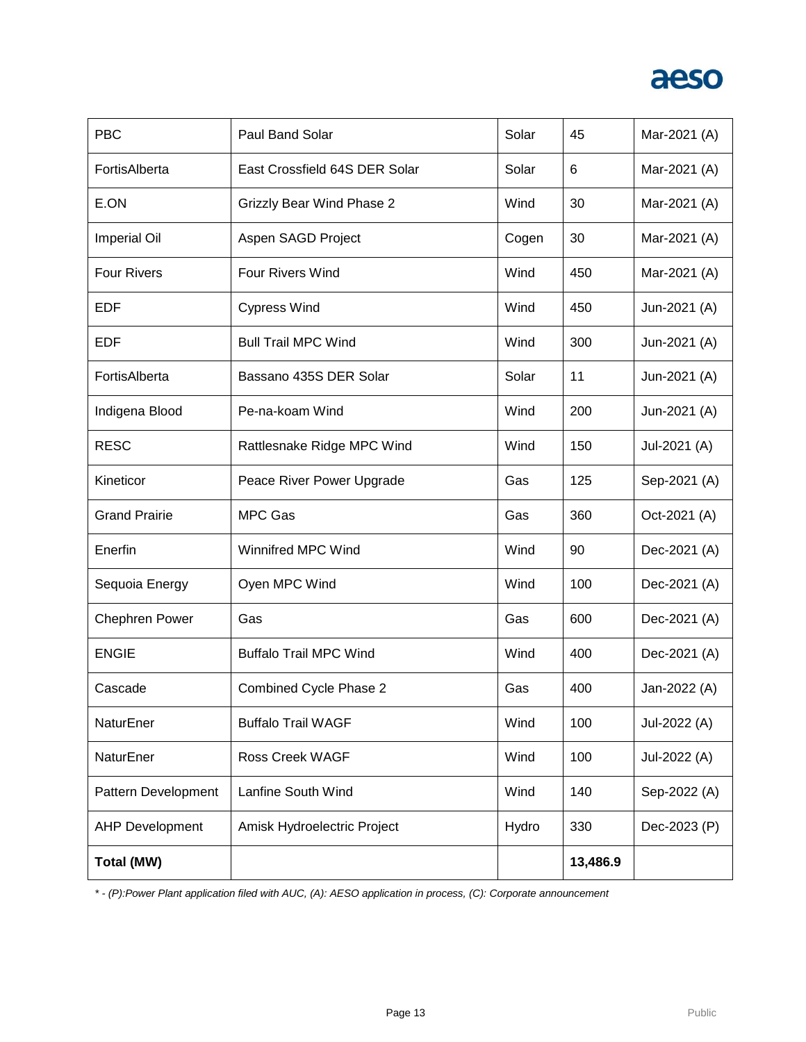# aeso

| <b>PBC</b>             | <b>Paul Band Solar</b>           | Solar | 45       | Mar-2021 (A) |
|------------------------|----------------------------------|-------|----------|--------------|
| FortisAlberta          | East Crossfield 64S DER Solar    | Solar | 6        | Mar-2021 (A) |
| E.ON                   | <b>Grizzly Bear Wind Phase 2</b> | Wind  | 30       | Mar-2021 (A) |
| <b>Imperial Oil</b>    | Aspen SAGD Project               | Cogen | 30       | Mar-2021 (A) |
| <b>Four Rivers</b>     | <b>Four Rivers Wind</b>          | Wind  | 450      | Mar-2021 (A) |
| <b>EDF</b>             | <b>Cypress Wind</b>              | Wind  | 450      | Jun-2021 (A) |
| EDF                    | <b>Bull Trail MPC Wind</b>       | Wind  | 300      | Jun-2021 (A) |
| FortisAlberta          | Bassano 435S DER Solar           | Solar | 11       | Jun-2021 (A) |
| Indigena Blood         | Pe-na-koam Wind                  | Wind  | 200      | Jun-2021 (A) |
| <b>RESC</b>            | Rattlesnake Ridge MPC Wind       | Wind  | 150      | Jul-2021 (A) |
| Kineticor              | Peace River Power Upgrade        | Gas   | 125      | Sep-2021 (A) |
| <b>Grand Prairie</b>   | <b>MPC Gas</b>                   | Gas   | 360      | Oct-2021 (A) |
| Enerfin                | <b>Winnifred MPC Wind</b>        | Wind  | 90       | Dec-2021 (A) |
| Sequoia Energy         | Oyen MPC Wind                    | Wind  | 100      | Dec-2021 (A) |
| <b>Chephren Power</b>  | Gas                              | Gas   | 600      | Dec-2021 (A) |
| <b>ENGIE</b>           | <b>Buffalo Trail MPC Wind</b>    | Wind  | 400      | Dec-2021 (A) |
| Cascade                | Combined Cycle Phase 2           | Gas   | 400      | Jan-2022 (A) |
| NaturEner              | <b>Buffalo Trail WAGF</b>        | Wind  | 100      | Jul-2022 (A) |
| NaturEner              | <b>Ross Creek WAGF</b>           | Wind  | 100      | Jul-2022 (A) |
| Pattern Development    | Lanfine South Wind               | Wind  | 140      | Sep-2022 (A) |
| <b>AHP Development</b> | Amisk Hydroelectric Project      | Hydro | 330      | Dec-2023 (P) |
| Total (MW)             |                                  |       | 13,486.9 |              |

*\* - (P):Power Plant application filed with AUC, (A): AESO application in process, (C): Corporate announcement*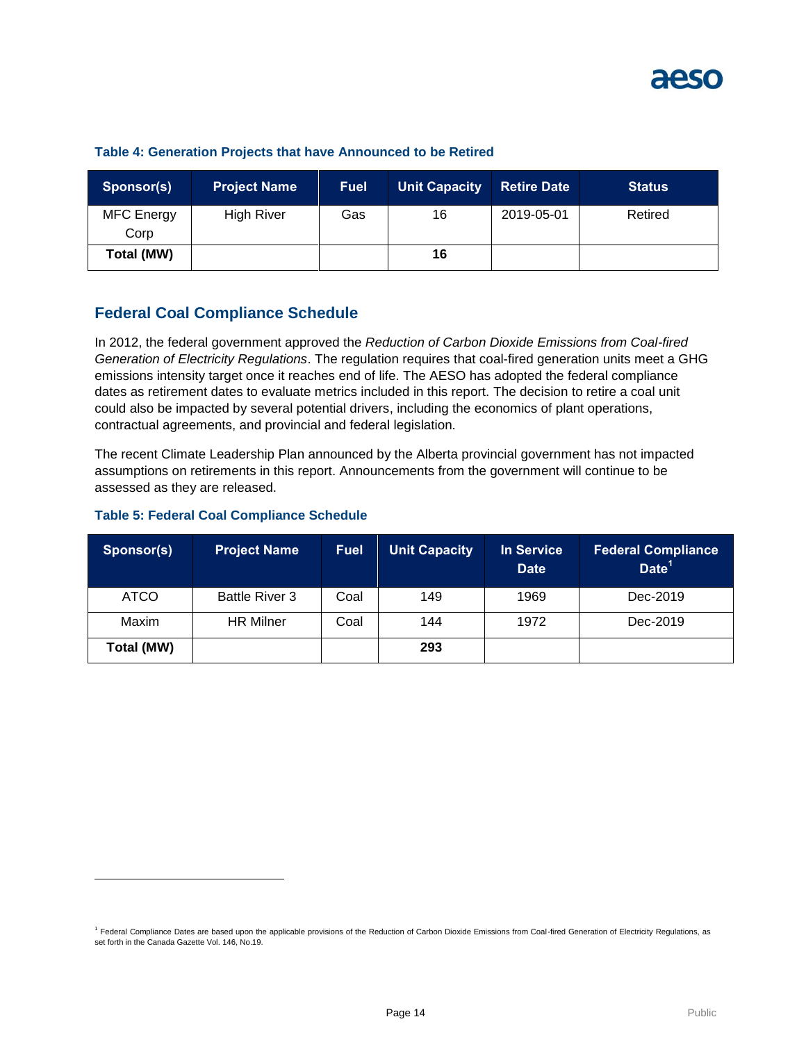| Sponsor(s)                | <b>Project Name</b> | <b>Fuel</b> | <b>Unit Capacity</b> | <b>Retire Date</b> | <b>Status</b> |
|---------------------------|---------------------|-------------|----------------------|--------------------|---------------|
| <b>MFC</b> Energy<br>Corp | <b>High River</b>   | Gas         | 16                   | 2019-05-01         | Retired       |
| Total (MW)                |                     |             | 16                   |                    |               |

#### **Table 4: Generation Projects that have Announced to be Retired**

## **Federal Coal Compliance Schedule**

In 2012, the federal government approved the *Reduction of Carbon Dioxide Emissions from Coal-fired Generation of Electricity Regulations*. The regulation requires that coal-fired generation units meet a GHG emissions intensity target once it reaches end of life. The AESO has adopted the federal compliance dates as retirement dates to evaluate metrics included in this report. The decision to retire a coal unit could also be impacted by several potential drivers, including the economics of plant operations, contractual agreements, and provincial and federal legislation.

The recent Climate Leadership Plan announced by the Alberta provincial government has not impacted assumptions on retirements in this report. Announcements from the government will continue to be assessed as they are released.

#### **Table 5: Federal Coal Compliance Schedule**

l

| Sponsor(s)  | <b>Project Name</b>   | <b>Fuel</b> | <b>Unit Capacity</b> | In Service<br><b>Date</b> | <b>Federal Compliance</b><br>Date <sup>1</sup> |
|-------------|-----------------------|-------------|----------------------|---------------------------|------------------------------------------------|
| <b>ATCO</b> | <b>Battle River 3</b> | Coal        | 149                  | 1969                      | Dec-2019                                       |
| Maxim       | <b>HR Milner</b>      | Coal        | 144                  | 1972                      | Dec-2019                                       |
| Total (MW)  |                       |             | 293                  |                           |                                                |

<sup>&</sup>lt;sup>1</sup> Federal Compliance Dates are based upon the applicable provisions of the Reduction of Carbon Dioxide Emissions from Coal-fired Generation of Electricity Regulations, as set forth in the Canada Gazette Vol. 146, No.19.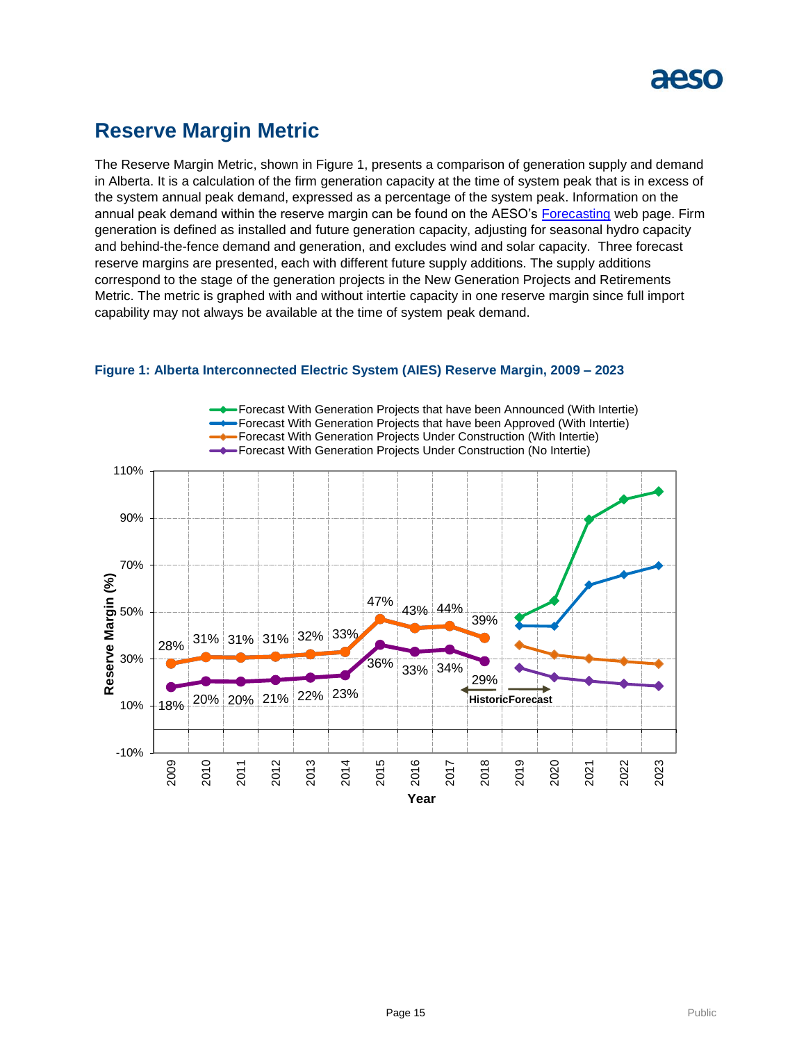

# **Reserve Margin Metric**

The Reserve Margin Metric, shown in Figure 1, presents a comparison of generation supply and demand in Alberta. It is a calculation of the firm generation capacity at the time of system peak that is in excess of the system annual peak demand, expressed as a percentage of the system peak. Information on the annual peak demand within the reserve margin can be found on the AESO's [Forecasting](https://www.aeso.ca/grid/forecasting) web page. Firm generation is defined as installed and future generation capacity, adjusting for seasonal hydro capacity and behind-the-fence demand and generation, and excludes wind and solar capacity. Three forecast reserve margins are presented, each with different future supply additions. The supply additions correspond to the stage of the generation projects in the New Generation Projects and Retirements Metric. The metric is graphed with and without intertie capacity in one reserve margin since full import capability may not always be available at the time of system peak demand.



#### **Figure 1: Alberta Interconnected Electric System (AIES) Reserve Margin, 2009 – 2023**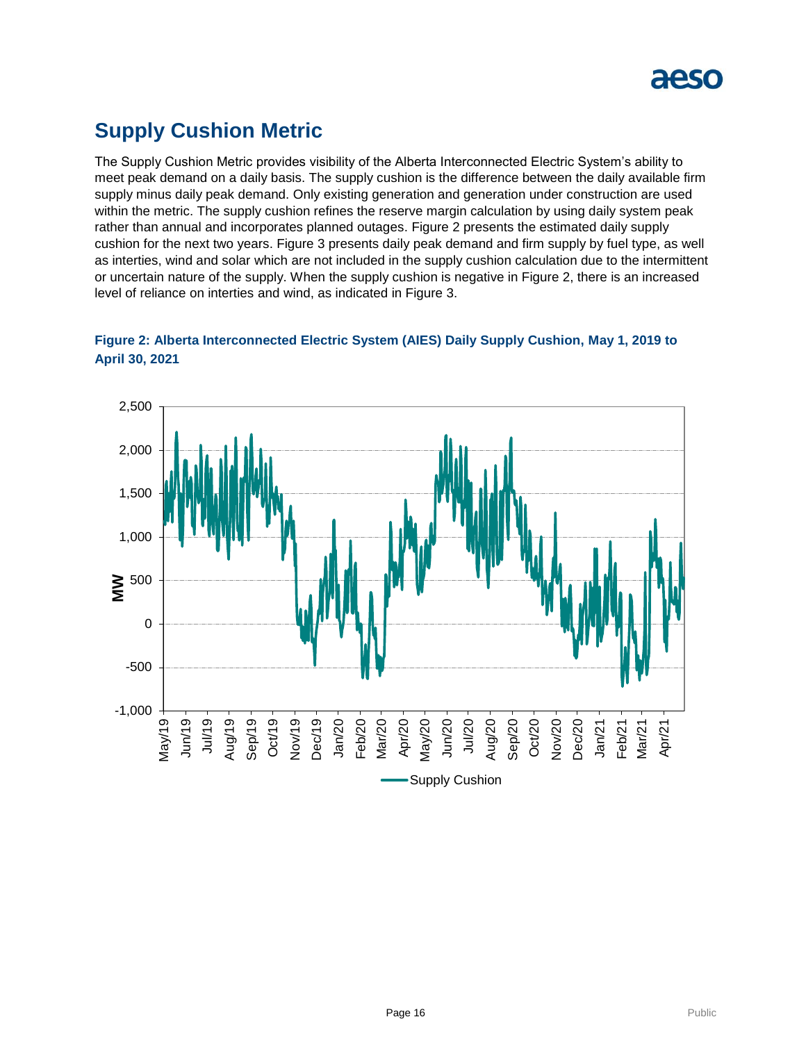

# **Supply Cushion Metric**

The Supply Cushion Metric provides visibility of the Alberta Interconnected Electric System's ability to meet peak demand on a daily basis. The supply cushion is the difference between the daily available firm supply minus daily peak demand. Only existing generation and generation under construction are used within the metric. The supply cushion refines the reserve margin calculation by using daily system peak rather than annual and incorporates planned outages. Figure 2 presents the estimated daily supply cushion for the next two years. Figure 3 presents daily peak demand and firm supply by fuel type, as well as interties, wind and solar which are not included in the supply cushion calculation due to the intermittent or uncertain nature of the supply. When the supply cushion is negative in Figure 2, there is an increased level of reliance on interties and wind, as indicated in Figure 3.



**Figure 2: Alberta Interconnected Electric System (AIES) Daily Supply Cushion, May 1, 2019 to April 30, 2021**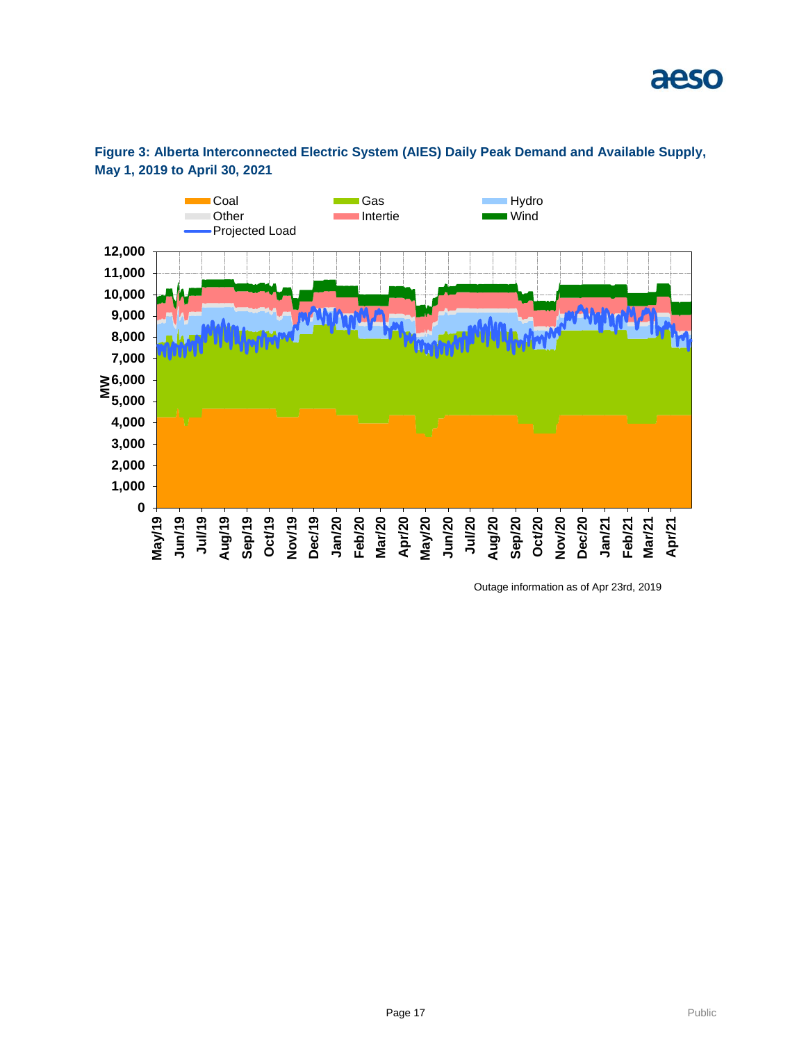

## **Figure 3: Alberta Interconnected Electric System (AIES) Daily Peak Demand and Available Supply, May 1, 2019 to April 30, 2021**

Outage information as of Apr 23rd, 2019